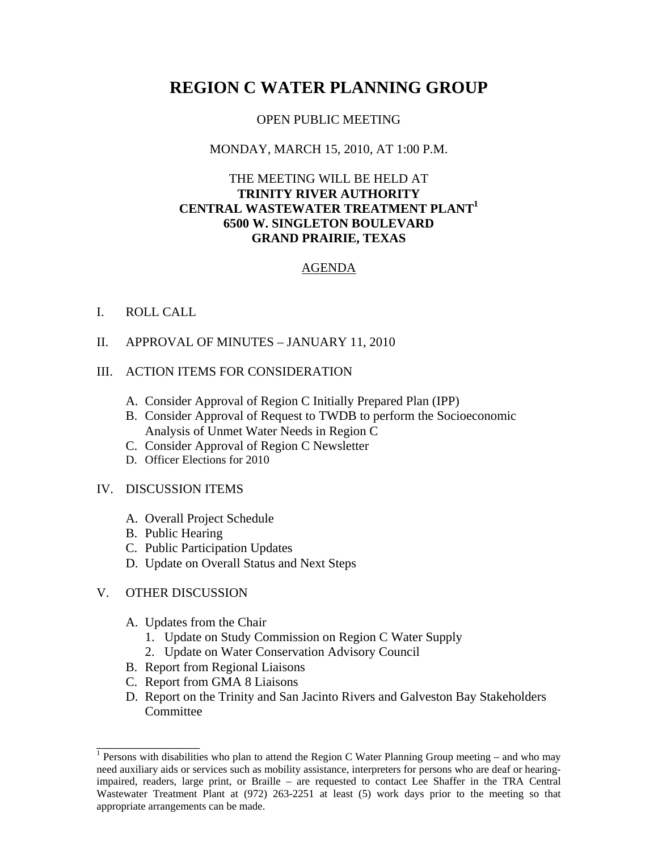# **REGION C WATER PLANNING GROUP**

#### OPEN PUBLIC MEETING

# MONDAY, MARCH 15, 2010, AT 1:00 P.M.

# THE MEETING WILL BE HELD AT **TRINITY RIVER AUTHORITY CENTRAL WASTEWATER TREATMENT PLANT1 6500 W. SINGLETON BOULEVARD GRAND PRAIRIE, TEXAS**

### AGENDA

### I. ROLL CALL

II. APPROVAL OF MINUTES – JANUARY 11, 2010

### III. ACTION ITEMS FOR CONSIDERATION

- A. Consider Approval of Region C Initially Prepared Plan (IPP)
- B. Consider Approval of Request to TWDB to perform the Socioeconomic Analysis of Unmet Water Needs in Region C
- C. Consider Approval of Region C Newsletter
- D. Officer Elections for 2010

#### IV. DISCUSSION ITEMS

- A. Overall Project Schedule
- B. Public Hearing
- C. Public Participation Updates
- D. Update on Overall Status and Next Steps

# V. OTHER DISCUSSION

\_\_\_\_\_\_\_\_\_\_\_\_\_\_\_\_

- A. Updates from the Chair
	- 1. Update on Study Commission on Region C Water Supply
	- 2. Update on Water Conservation Advisory Council
- B. Report from Regional Liaisons
- C. Report from GMA 8 Liaisons
- D. Report on the Trinity and San Jacinto Rivers and Galveston Bay Stakeholders **Committee**

<sup>&</sup>lt;sup>1</sup> Persons with disabilities who plan to attend the Region C Water Planning Group meeting – and who may need auxiliary aids or services such as mobility assistance, interpreters for persons who are deaf or hearingimpaired, readers, large print, or Braille – are requested to contact Lee Shaffer in the TRA Central Wastewater Treatment Plant at (972) 263-2251 at least (5) work days prior to the meeting so that appropriate arrangements can be made.